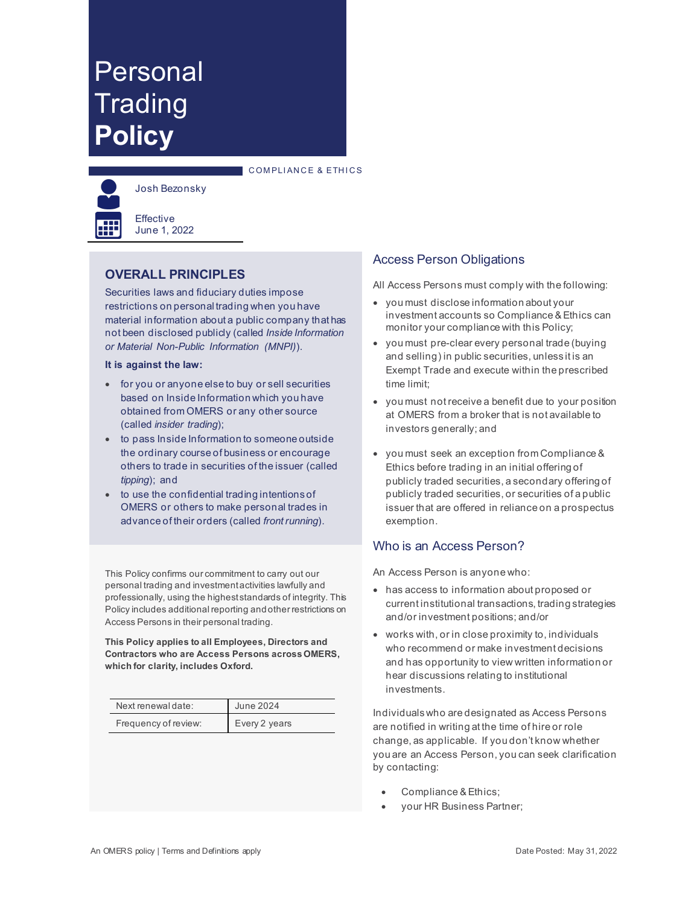# Personal **Trading Policy**





Josh Bezonsky

Effective June 1, 2022

# **OVERALL PRINCIPLES**

Securities laws and fiduciary duties impose restrictions on personal trading when you have material information about a public company that has not been disclosed publicly (called *Inside Information or Material Non-Public Information (MNPI)*).

#### **It is against the law:**

- for you or anyone else to buy or sell securities based on Inside Information which you have obtained from OMERS or any other source (called *insider trading*);
- to pass Inside Information to someone outside the ordinary course of business or encourage others to trade in securities of the issuer (called *tipping*); and
- to use the confidential trading intentions of OMERS or others to make personal trades in advance of their orders (called *front running*).

This Policy confirms our commitment to carry out our personal trading and investment activities lawfully and professionally, using the highest standards of integrity. This Policy includes additional reporting and other restrictions on Access Persons in their personal trading.

**This Policy applies to all Employees, Directors and Contractors who are Access Persons across OMERS, which for clarity, includes Oxford.** 

| Next renewal date:   | June 2024     |
|----------------------|---------------|
| Frequency of review: | Every 2 years |

# Access Person Obligations

All Access Persons must comply with the following:

- you must disclose information about your investment accounts so Compliance & Ethics can monitor your compliance with this Policy;
- you must pre-clear every personal trade (buying and selling) in public securities, unless it is an Exempt Trade and execute within the prescribed time limit;
- you must not receive a benefit due to your position at OMERS from a broker that is not available to investors generally; and
- you must seek an exception from Compliance & Ethics before trading in an initial offering of publicly traded securities, a secondary offering of publicly traded securities, or securities of a public issuer that are offered in reliance on a prospectus exemption.

#### Who is an Access Person?

An Access Person is anyone who:

- has access to information about proposed or current institutional transactions, trading strategies and/or investment positions; and/or
- works with, or in close proximity to, individuals who recommend or make investment decisions and has opportunity to view written information or hear discussions relating to institutional investments.

Individuals who are designated as Access Persons are notified in writing at the time of hire or role change, as applicable. If you don't know whether you are an Access Person, you can seek clarification by contacting:

- Compliance & Ethics;
- your HR Business Partner;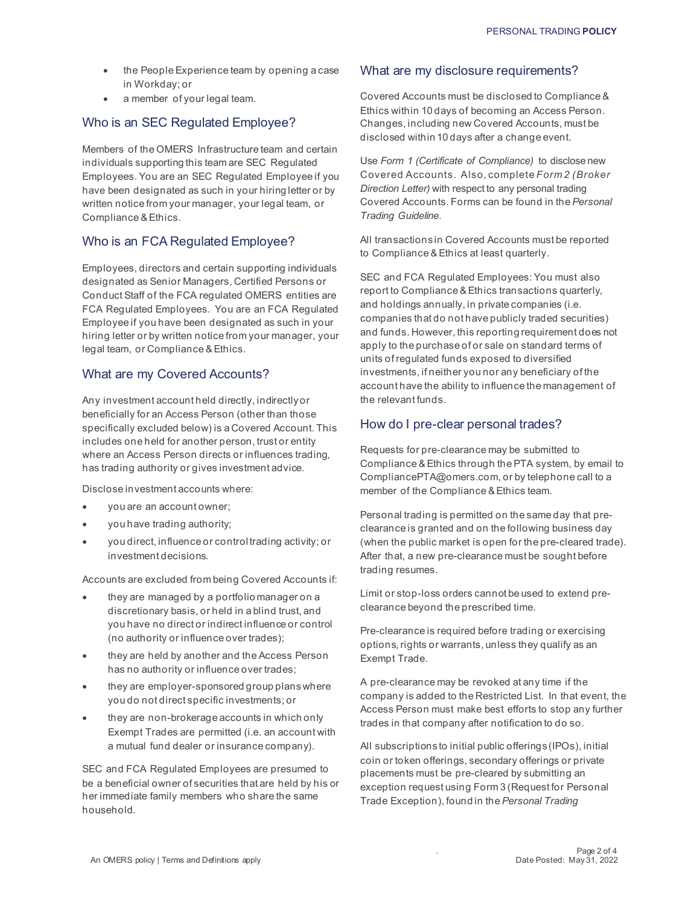- the People Experience team by opening a case in Workday; or
- a member of your legal team.

# Who is an SEC Regulated Employee?

Members of the OMERS Infrastructure team and certain individuals supporting this team are SEC Regulated Employees. You are an SEC Regulated Employee if you have been designated as such in your hiring letter or by written notice from your manager, your legal team, or Compliance & Ethics.

#### Who is an FCA Regulated Employee?

Employees, directors and certain supporting individuals designated as Senior Managers, Certified Persons or Conduct Staff of the FCA regulated OMERS entities are FCA Regulated Employees. You are an FCA Regulated Employee if you have been designated as such in your hiring letter or by written notice from your manager, your legal team, or Compliance & Ethics.

#### What are my Covered Accounts?

Any investment account held directly, indirectly or beneficially for an Access Person (other than those specifically excluded below) is a Covered Account. This includes one held for another person, trust or entity where an Access Person directs or influences trading, has trading authority or gives investment advice.

Disclose investment accounts where:

- you are an account owner;
- you have trading authority;
- you direct, influence or control trading activity; or investment decisions.

Accounts are excluded from being Covered Accounts if:

- they are managed by a portfolio manager on a discretionary basis, or held in a blind trust, and you have no direct or indirect influence or control (no authority or influence over trades);
- they are held by another and the Access Person has no authority or influence over trades;
- they are employer-sponsored group planswhere you do not direct specific investments; or
- they are non-brokerage accounts in which only Exempt Trades are permitted (i.e. an account with a mutual fund dealer or insurance company).

SEC and FCA Regulated Employees are presumed to be a beneficial owner of securities that are held by his or her immediate family members who share the same household.

#### What are my disclosure requirements?

Covered Accounts must be disclosed to Compliance & Ethics within 10 days of becoming an Access Person. Changes, including new Covered Accounts, must be disclosed within 10 days after a change event.

Use *Form 1 (Certificate of Compliance)* to disclose new Covered Accounts. Also, complete *Form 2 (Broker Direction Letter)* with respect to any personal trading Covered Accounts. Forms can be found in the *Personal Trading Guideline*.

All transactions in Covered Accounts must be reported to Compliance & Ethics at least quarterly.

SEC and FCA Regulated Employees: You must also report to Compliance & Ethics transactions quarterly, and holdings annually, in private companies (i.e. companies that do not have publicly traded securities) and funds. However, this reporting requirement does not apply to the purchase of or sale on standard terms of units of regulated funds exposed to diversified investments, if neither you nor any beneficiary of the account have the ability to influence the management of the relevant funds.

#### How do I pre-clear personal trades?

Requests for pre-clearance may be submitted to Compliance & Ethics through the PTA system, by email to [CompliancePTA@omers.com,](mailto:CompliancePTA@omers.com) or by telephone call to a member of the Compliance & Ethics team.

Personal trading is permitted on the same day that preclearance is granted and on the following business day (when the public market is open for the pre-cleared trade). After that, a new pre-clearance must be sought before trading resumes.

Limit or stop-loss orders cannot be used to extend preclearance beyond the prescribed time.

Pre-clearance is required before trading or exercising options, rights or warrants, unless they qualify as an Exempt Trade.

A pre-clearance may be revoked at any time if the company is added to the Restricted List. In that event, the Access Person must make best efforts to stop any further trades in that company after notification to do so.

All subscriptions to initial public offerings (IPOs), initial coin or token offerings, secondary offerings or private placements must be pre-cleared by submitting an exception request using Form 3 (Request for Personal Trade Exception), found in the *Personal Trading*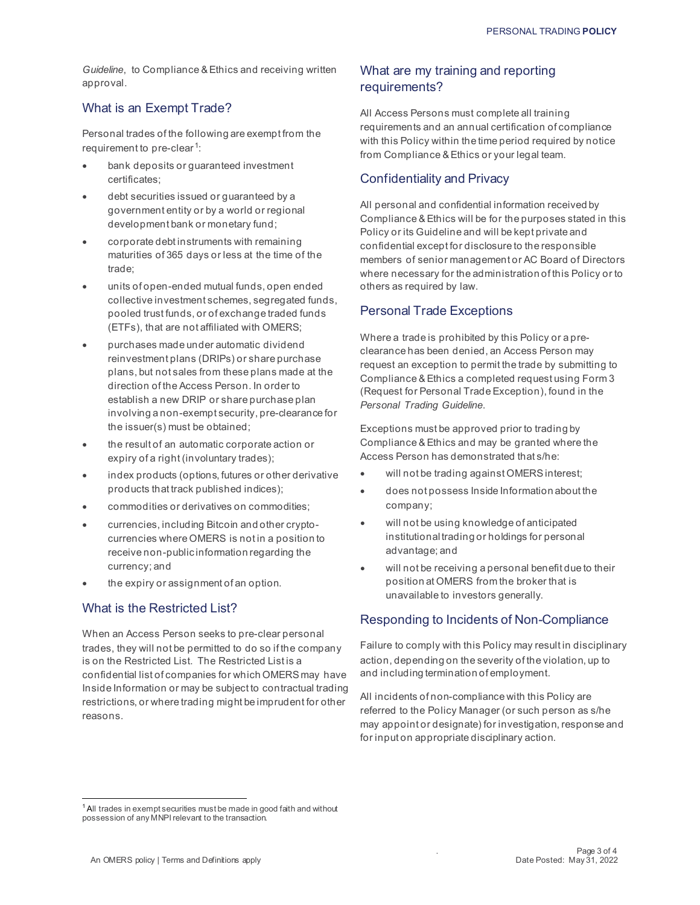*Guideline*, to Compliance & Ethics and receiving written approval.

# What is an Exempt Trade?

<span id="page-2-1"></span>Personal trades of the following are exempt from the requirement to pre-clear<sup>[1](#page-2-0)</sup>:

- bank deposits or guaranteed investment certificates;
- debt securities issued or guaranteed by a government entity or by a world or regional development bank or monetary fund;
- corporate debt instruments with remaining maturities of 365 days or less at the time of the trade;
- units of open-ended mutual funds, open ended collective investment schemes, segregated funds, pooled trust funds, or of exchange traded funds (ETFs), that are not affiliated with OMERS;
- purchases made under automatic dividend reinvestment plans (DRIPs) or share purchase plans, but not sales from these plans made at the direction of the Access Person. In order to establish a new DRIP or share purchase plan involving a non-exempt security, pre-clearance for the issuer(s) must be obtained;
- the result of an automatic corporate action or expiry of a right (involuntary trades);
- index products (options, futures or other derivative products that track published indices);
- commodities or derivatives on commodities;
- currencies, including Bitcoin and other cryptocurrencies where OMERS is not in a position to receive non-public information regarding the currency; and
- the expiry or assignment of an option.

#### What is the Restricted List?

When an Access Person seeks to pre-clear personal trades, they will not be permitted to do so if the company is on the Restricted List. The Restricted List is a confidential list of companies for which OMERS may have Inside Information or may be subject to contractual trading restrictions, or where trading might be imprudent for other reasons.

# What are my training and reporting requirements?

All Access Persons must complete all training requirements and an annual certification of compliance with this Policy within the time period required by notice from Compliance & Ethics or your legal team.

# Confidentiality and Privacy

All personal and confidential information received by Compliance & Ethics will be for the purposes stated in this Policy or its Guideline and will be kept private and confidential except for disclosure to the responsible members of senior management or AC Board of Directors where necessary for the administration of this Policy or to others as required by law.

# Personal Trade Exceptions

Where a trade is prohibited by this Policy or a preclearance has been denied, an Access Person may request an exception to permit the trade by submitting to Compliance & Ethics a completed request using Form 3 (Request for Personal Trade Exception), found in the *Personal Trading Guideline*.

Exceptions must be approved prior to trading by Compliance & Ethics and may be granted where the Access Person has demonstrated that s/he:

- will not be trading against OMERS interest:
- does not possess Inside Information about the company;
- will not be using knowledge of anticipated institutional trading or holdings for personal advantage; and
- will not be receiving a personal benefit due to their position at OMERS from the broker that is unavailable to investors generally.

#### Responding to Incidents of Non-Compliance

Failure to comply with this Policy may result in disciplinary action, depending on the severity of the violation, up to and including termination of employment.

All incidents of non-compliance with this Policy are referred to the Policy Manager (or such person as s/he may appoint or designate) for investigation, response and for input on appropriate disciplinary action.

<span id="page-2-0"></span><sup>&</sup>lt;sup>[1](#page-2-1)</sup> All trades in exempt securities must be made in good faith and without possession of any MNPI relevant to the transaction.